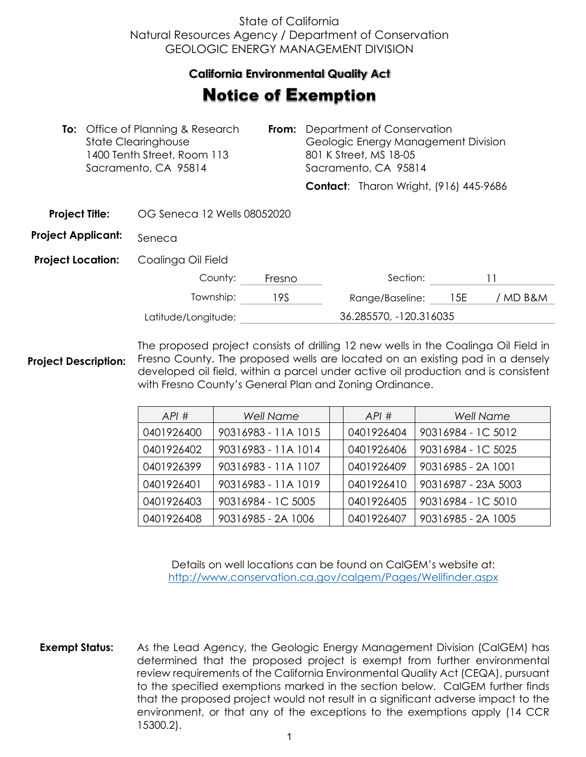## State of California Natural Resources Agency / Department of Conservation GEOLOGIC ENERGY MANAGEMENT DIVISION

## **California Environmental Quality Act**  California Environmental Quality Act

## **Notice of Exemption**

|                           | <b>To:</b> Office of Planning & Research<br><b>State Clearinghouse</b><br>1400 Tenth Street, Room 113<br>Sacramento, CA 95814 |        | <b>From:</b> Department of Conservation<br>Geologic Energy Management Division<br>801 K Street, MS 18-05<br>Sacramento, CA 95814 |                                               |  |
|---------------------------|-------------------------------------------------------------------------------------------------------------------------------|--------|----------------------------------------------------------------------------------------------------------------------------------|-----------------------------------------------|--|
|                           |                                                                                                                               |        |                                                                                                                                  | <b>Contact:</b> Tharon Wright, (916) 445-9686 |  |
| <b>Project Title:</b>     | OG Seneca 12 Wells 08052020                                                                                                   |        |                                                                                                                                  |                                               |  |
| <b>Project Applicant:</b> | Seneca                                                                                                                        |        |                                                                                                                                  |                                               |  |
| <b>Project Location:</b>  | Coalinga Oil Field                                                                                                            |        |                                                                                                                                  |                                               |  |
|                           | County:                                                                                                                       | Fresno |                                                                                                                                  | Section:                                      |  |

| CUULIIY.            | 1153110 | <u>JELIIUI I.</u>      |      |          |
|---------------------|---------|------------------------|------|----------|
| Township:           | 19S     | Range/Baseline:        | -15E | / MD B&M |
| Latitude/Longitude: |         | 36.285570, -120.316035 |      |          |

**Project Description:** The proposed project consists of drilling 12 new wells in the Coalinga Oil Field in Fresno County. The proposed wells are located on an existing pad in a densely developed oil field, within a parcel under active oil production and is consistent with Fresno County's General Plan and Zoning Ordinance.

| API#       | <b>Well Name</b>    | API#       | <b>Well Name</b>    |
|------------|---------------------|------------|---------------------|
| 0401926400 | 90316983 - 11A 1015 | 0401926404 | 90316984 - 1C 5012  |
| 0401926402 | 90316983 - 11A 1014 | 0401926406 | 90316984 - IC 5025  |
| 0401926399 | 90316983 - 11A 1107 | 0401926409 | 90316985 - 2A 1001  |
| 0401926401 | 90316983 - 11A 1019 | 0401926410 | 90316987 - 23A 5003 |
| 0401926403 | 90316984 - 1C 5005  | 0401926405 | 90316984 - 1C 5010  |
| 0401926408 | 90316985 - 2A 1006  | 0401926407 | 90316985 - 2A 1005  |

Details on well locations can be found on CalGEM's website at: <http://www.conservation.ca.gov/calgem/Pages/Wellfinder.aspx>

**Exempt Status:** As the Lead Agency, the Geologic Energy Management Division (CalGEM) has determined that the proposed project is exempt from further environmental review requirements of the California Environmental Quality Act (CEQA), pursuant to the specified exemptions marked in the section below. CalGEM further finds that the proposed project would not result in a significant adverse impact to the environment, or that any of the exceptions to the exemptions apply (14 CCR 15300.2).